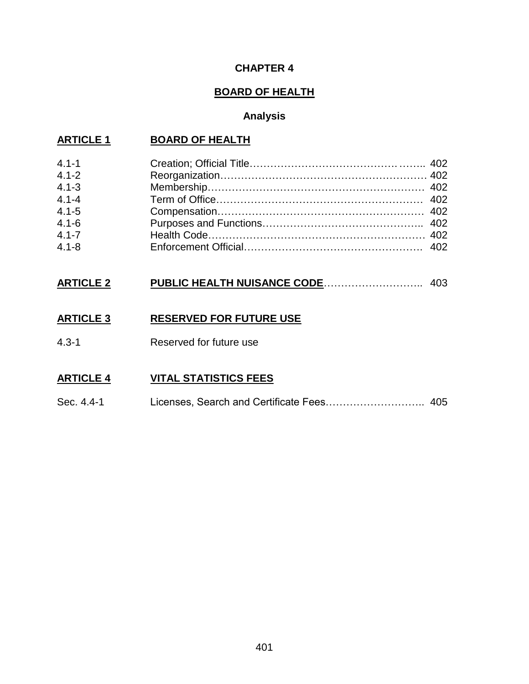## **CHAPTER 4**

# **BOARD OF HEALTH**

# **Analysis**

# **ARTICLE 1 BOARD OF HEALTH**

| $4.1 - 1$<br>$4.1 - 2$<br>$4.1 - 3$<br>$4.1 - 4$<br>$4.1 - 5$<br>$4.1 - 6$ |  |
|----------------------------------------------------------------------------|--|
|                                                                            |  |
| $4.1 - 7$                                                                  |  |
| $4.1 - 8$                                                                  |  |

# **ARTICLE 2 PUBLIC HEALTH NUISANCE CODE**……………………….. 403

## **ARTICLE 3 RESERVED FOR FUTURE USE**

4.3-1 Reserved for future use

## **ARTICLE 4 VITAL STATISTICS FEES**

Sec. 4.4-1 Licenses, Search and Certificate Fees……………………….. 405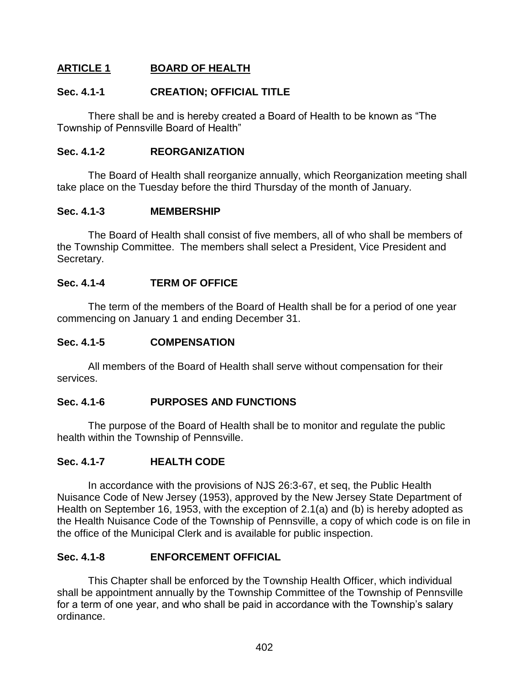# **ARTICLE 1 BOARD OF HEALTH**

#### **Sec. 4.1-1 CREATION; OFFICIAL TITLE**

There shall be and is hereby created a Board of Health to be known as "The Township of Pennsville Board of Health"

#### **Sec. 4.1-2 REORGANIZATION**

The Board of Health shall reorganize annually, which Reorganization meeting shall take place on the Tuesday before the third Thursday of the month of January.

## **Sec. 4.1-3 MEMBERSHIP**

The Board of Health shall consist of five members, all of who shall be members of the Township Committee. The members shall select a President, Vice President and Secretary.

## **Sec. 4.1-4 TERM OF OFFICE**

The term of the members of the Board of Health shall be for a period of one year commencing on January 1 and ending December 31.

#### **Sec. 4.1-5 COMPENSATION**

All members of the Board of Health shall serve without compensation for their services.

## **Sec. 4.1-6 PURPOSES AND FUNCTIONS**

The purpose of the Board of Health shall be to monitor and regulate the public health within the Township of Pennsville.

#### **Sec. 4.1-7 HEALTH CODE**

In accordance with the provisions of NJS 26:3-67, et seq, the Public Health Nuisance Code of New Jersey (1953), approved by the New Jersey State Department of Health on September 16, 1953, with the exception of 2.1(a) and (b) is hereby adopted as the Health Nuisance Code of the Township of Pennsville, a copy of which code is on file in the office of the Municipal Clerk and is available for public inspection.

#### **Sec. 4.1-8 ENFORCEMENT OFFICIAL**

This Chapter shall be enforced by the Township Health Officer, which individual shall be appointment annually by the Township Committee of the Township of Pennsville for a term of one year, and who shall be paid in accordance with the Township's salary ordinance.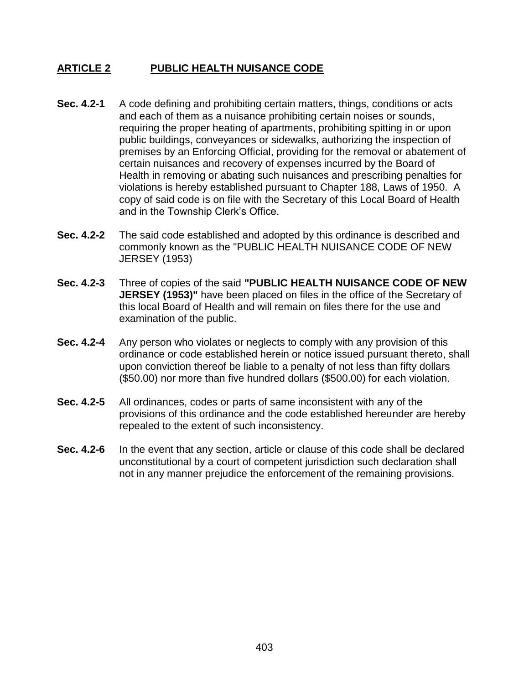## **ARTICLE 2 PUBLIC HEALTH NUISANCE CODE**

- **Sec. 4.2-1** A code defining and prohibiting certain matters, things, conditions or acts and each of them as a nuisance prohibiting certain noises or sounds, requiring the proper heating of apartments, prohibiting spitting in or upon public buildings, conveyances or sidewalks, authorizing the inspection of premises by an Enforcing Official, providing for the removal or abatement of certain nuisances and recovery of expenses incurred by the Board of Health in removing or abating such nuisances and prescribing penalties for violations is hereby established pursuant to Chapter 188, Laws of 1950. A copy of said code is on file with the Secretary of this Local Board of Health and in the Township Clerk's Office.
- **Sec. 4.2-2** The said code established and adopted by this ordinance is described and commonly known as the "PUBLIC HEALTH NUISANCE CODE OF NEW JERSEY (1953)
- **Sec. 4.2-3** Three of copies of the said **"PUBLIC HEALTH NUISANCE CODE OF NEW JERSEY (1953)"** have been placed on files in the office of the Secretary of this local Board of Health and will remain on files there for the use and examination of the public.
- **Sec. 4.2-4** Any person who violates or neglects to comply with any provision of this ordinance or code established herein or notice issued pursuant thereto, shall upon conviction thereof be liable to a penalty of not less than fifty dollars (\$50.00) nor more than five hundred dollars (\$500.00) for each violation.
- **Sec. 4.2-5** All ordinances, codes or parts of same inconsistent with any of the provisions of this ordinance and the code established hereunder are hereby repealed to the extent of such inconsistency.
- **Sec. 4.2-6** In the event that any section, article or clause of this code shall be declared unconstitutional by a court of competent jurisdiction such declaration shall not in any manner prejudice the enforcement of the remaining provisions.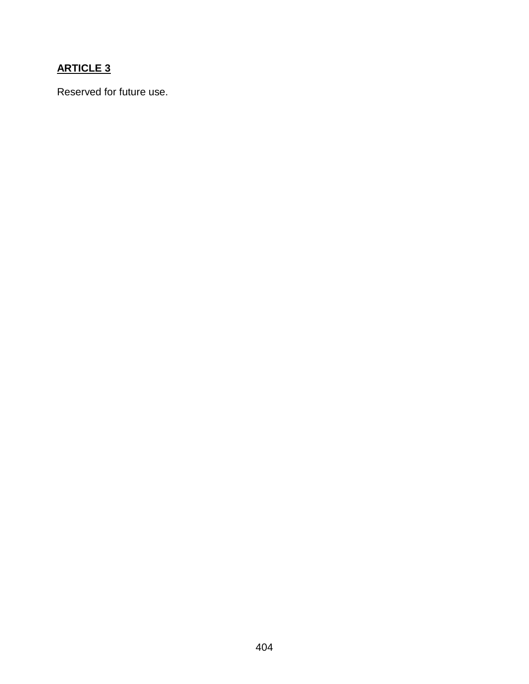# **ARTICLE 3**

Reserved for future use.